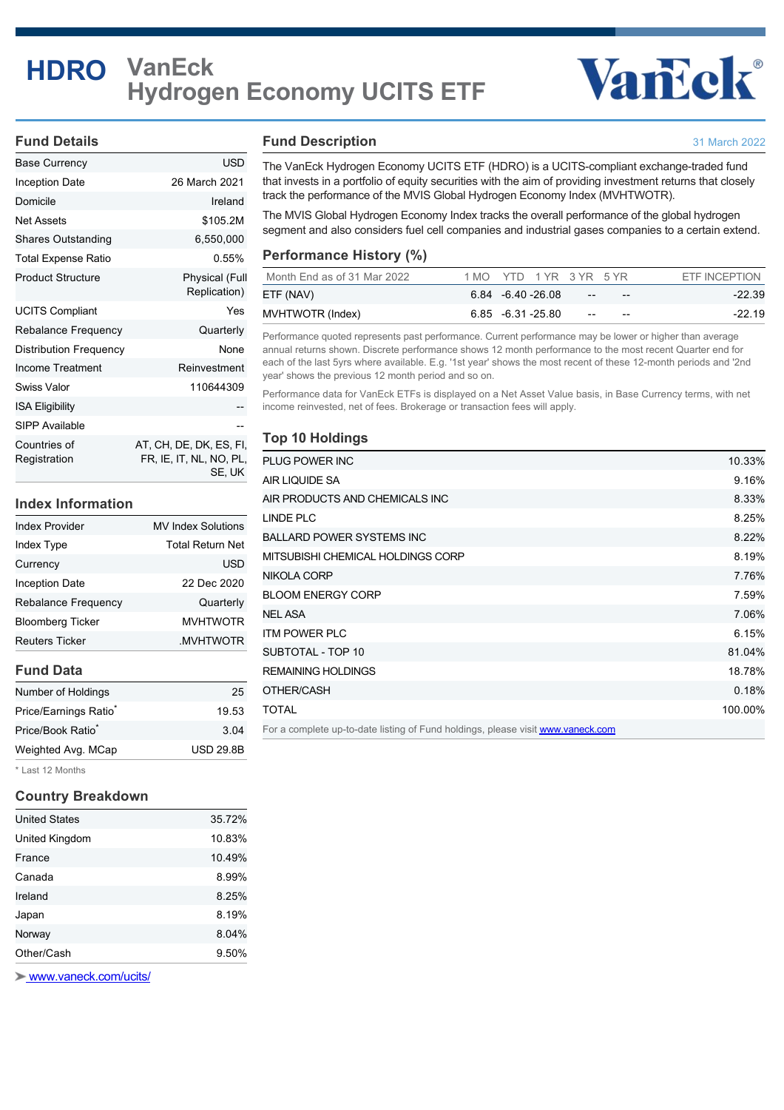# **HDRO VanEck Hydrogen Economy UCITS ETF**

# **Vancok®**

31 March 2022

## **Fund Details**

| Base Currency                | USD                                                          |
|------------------------------|--------------------------------------------------------------|
| Inception Date               | 26 March 2021                                                |
| Domicile                     | Ireland                                                      |
| <b>Net Assets</b>            | \$105.2M                                                     |
| <b>Shares Outstanding</b>    | 6,550,000                                                    |
| <b>Total Expense Ratio</b>   | 0.55%                                                        |
| <b>Product Structure</b>     | <b>Physical (Full</b><br>Replication)                        |
| <b>UCITS Compliant</b>       | Yes                                                          |
| Rebalance Frequency          | Quarterly                                                    |
| Distribution Frequency       | None                                                         |
| Income Treatment             | Reinvestment                                                 |
| Swiss Valor                  | 110644309                                                    |
| <b>ISA Eligibility</b>       |                                                              |
| SIPP Available               |                                                              |
| Countries of<br>Registration | AT, CH, DE, DK, ES, FI,<br>FR, IE, IT, NL, NO, PL,<br>SE, UK |

# **Index Information**

| <b>Index Provider</b>      | <b>MV Index Solutions</b> |  |  |  |
|----------------------------|---------------------------|--|--|--|
| <b>Index Type</b>          | <b>Total Return Net</b>   |  |  |  |
| Currency                   | <b>USD</b>                |  |  |  |
| Inception Date             | 22 Dec 2020               |  |  |  |
| <b>Rebalance Frequency</b> | Quarterly                 |  |  |  |
| <b>Bloomberg Ticker</b>    | <b>MVHTWOTR</b>           |  |  |  |
| <b>Reuters Ticker</b>      | .MVHTWOTR                 |  |  |  |
|                            |                           |  |  |  |

# **Fund Data**

| Number of Holdings            | 25               |
|-------------------------------|------------------|
| Price/Earnings Ratio*         | 19.53            |
| Price/Book Ratio <sup>*</sup> | 3.04             |
| Weighted Avg. MCap            | <b>USD 29.8B</b> |
|                               |                  |

\* Last 12 Months

#### **Country Breakdown**

| <b>United States</b> | 35.72% |
|----------------------|--------|
| United Kingdom       | 10.83% |
| France               | 10.49% |
| Canada               | 8.99%  |
| Ireland              | 8.25%  |
| Japan                | 8.19%  |
| Norway               | 8.04%  |
| Other/Cash           | 9.50%  |
|                      |        |

 [www.vaneck.com/ucits/](http://www.vaneck.com/ucits/)

#### **Fund Description**

The VanEck Hydrogen Economy UCITS ETF (HDRO) is a UCITS-compliant exchange-traded fund that invests in a portfolio of equity securities with the aim of providing investment returns that closely track the performance of the MVIS Global Hydrogen Economy Index (MVHTWOTR).

The MVIS Global Hydrogen Economy Index tracks the overall performance of the global hydrogen segment and also considers fuel cell companies and industrial gases companies to a certain extend.

#### **Performance History (%)**

| Month End as of 31 Mar 2022 | 1 MO YTD 1 YR 3 YR 5 YR |                            | ETF INCEPTION |
|-----------------------------|-------------------------|----------------------------|---------------|
| ETF (NAV)                   | 6.84 - 6.40 - 26.08     | $- -$<br>$- -$             | $-22.39$      |
| MVHTWOTR (Index)            | $6.85 - 6.31 - 25.80$   | $\qquad \qquad -$<br>$- -$ | $-22.19$      |

Performance quoted represents past performance. Current performance may be lower or higher than average annual returns shown. Discrete performance shows 12 month performance to the most recent Quarter end for each of the last 5yrs where available. E.g. '1st year' shows the most recent of these 12-month periods and '2nd year' shows the previous 12 month period and so on.

Performance data for VanEck ETFs is displayed on a Net Asset Value basis, in Base Currency terms, with net income reinvested, net of fees. Brokerage or transaction fees will apply.

# **Top 10 Holdings**

| PLUG POWER INC                                                                  | 10.33%  |
|---------------------------------------------------------------------------------|---------|
| AIR LIQUIDE SA                                                                  | 9.16%   |
| AIR PRODUCTS AND CHEMICALS INC                                                  | 8.33%   |
| LINDE PLC                                                                       | 8.25%   |
| <b>BALLARD POWER SYSTEMS INC</b>                                                | 8.22%   |
| MITSUBISHI CHEMICAL HOLDINGS CORP                                               | 8.19%   |
| <b>NIKOLA CORP</b>                                                              | 7.76%   |
| <b>BLOOM ENERGY CORP</b>                                                        | 7.59%   |
| NEL ASA                                                                         | 7.06%   |
| <b>ITM POWER PLC</b>                                                            | 6.15%   |
| SUBTOTAL - TOP 10                                                               | 81.04%  |
| <b>REMAINING HOLDINGS</b>                                                       | 18.78%  |
| OTHER/CASH                                                                      | 0.18%   |
| <b>TOTAL</b>                                                                    | 100.00% |
| For a complete up-to-date listing of Fund holdings, please visit www.vaneck.com |         |